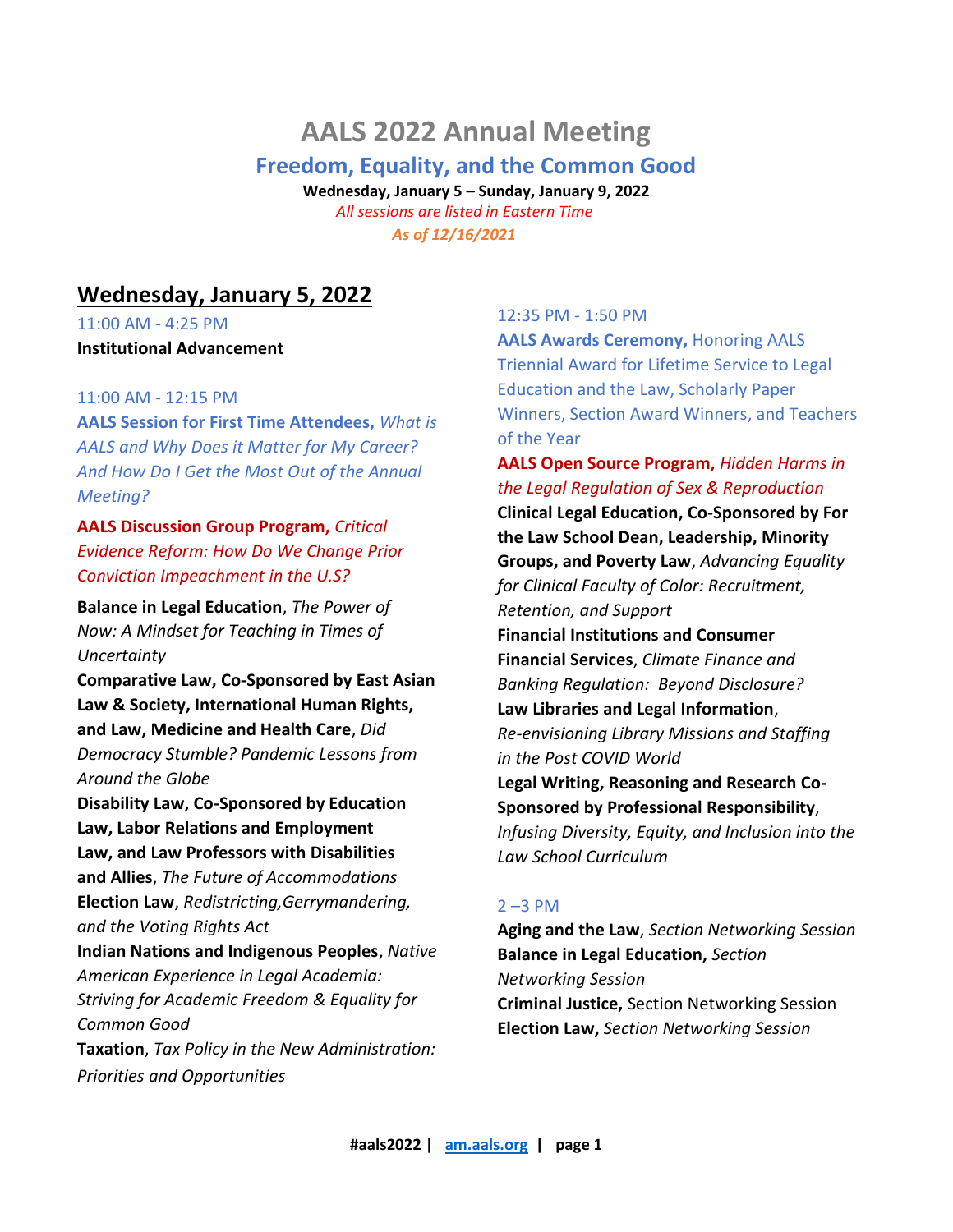# **AALS 2022 Annual Meeting**

## **Freedom, Equality, and the Common Good**

**Wednesday, January 5 – Sunday, January 9, 2022** *All sessions are listed in Eastern Time As of 12/16/2021*

## **Wednesday, January 5, 2022**

11:00 AM - 4:25 PM **Institutional Advancement** 

## 11:00 AM - 12:15 PM

**AALS Session for First Time Attendees,** *What is AALS and Why Does it Matter for My Career? And How Do I Get the Most Out of the Annual Meeting?*

**AALS Discussion Group Program,** *Critical Evidence Reform: How Do We Change Prior Conviction Impeachment in the U.S?*

**Balance in Legal Education**, *The Power of Now: A Mindset for Teaching in Times of Uncertainty*

**Comparative Law, Co-Sponsored by East Asian Law & Society, International Human Rights, and Law, Medicine and Health Care**, *Did Democracy Stumble? Pandemic Lessons from Around the Globe*

**Disability Law, Co-Sponsored by Education Law, Labor Relations and Employment Law, and Law Professors with Disabilities and Allies**, *The Future of Accommodations* **Election Law**, *Redistricting,Gerrymandering, and the Voting Rights Act*

**Indian Nations and Indigenous Peoples**, *Native American Experience in Legal Academia: Striving for Academic Freedom & Equality for Common Good*

**Taxation**, *Tax Policy in the New Administration: Priorities and Opportunities*

## 12:35 PM - 1:50 PM

**AALS Awards Ceremony,** Honoring AALS Triennial Award for Lifetime Service to Legal Education and the Law, Scholarly Paper Winners, Section Award Winners, and Teachers of the Year

**AALS Open Source Program,** *Hidden Harms in the Legal Regulation of Sex & Reproduction*

**Clinical Legal Education, Co-Sponsored by For the Law School Dean, Leadership, Minority Groups, and Poverty Law**, *Advancing Equality for Clinical Faculty of Color: Recruitment, Retention, and Support*

**Financial Institutions and Consumer Financial Services**, *Climate Finance and Banking Regulation: Beyond Disclosure?* **Law Libraries and Legal Information**, *Re-envisioning Library Missions and Staffing in the Post COVID World* **Legal Writing, Reasoning and Research Co-Sponsored by Professional Responsibility**, *Infusing Diversity, Equity, and Inclusion into the Law School Curriculum*

## 2 –3 PM

**Aging and the Law**, *Section Networking Session* **Balance in Legal Education,** *Section Networking Session*  **Criminal Justice,** Section Networking Session **Election Law,** *Section Networking Session*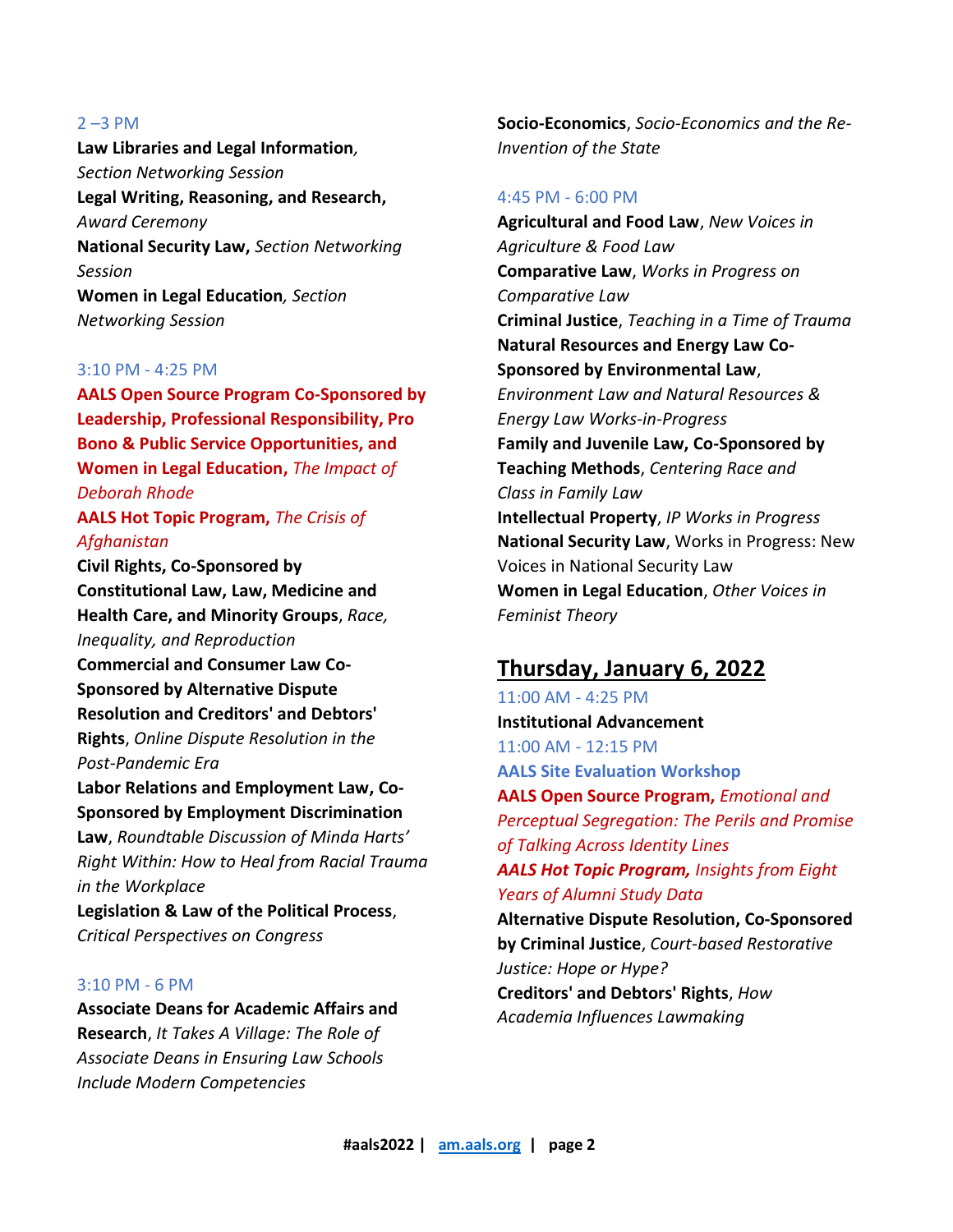#### $2 - 3$  PM

**Law Libraries and Legal Information***, Section Networking Session*  **Legal Writing, Reasoning, and Research,** *Award Ceremony* **National Security Law,** *Section Networking Session*  **Women in Legal Education***, Section Networking Session*

## 3:10 PM - 4:25 PM

**AALS Open Source Program Co-Sponsored by Leadership, Professional Responsibility, Pro Bono & Public Service Opportunities, and Women in Legal Education,** *The Impact of Deborah Rhode*

## **AALS Hot Topic Program,** *The Crisis of Afghanistan*

**Civil Rights, Co-Sponsored by Constitutional Law, Law, Medicine and Health Care, and Minority Groups**, *Race, Inequality, and Reproduction* **Commercial and Consumer Law Co-Sponsored by Alternative Dispute Resolution and Creditors' and Debtors' Rights**, *Online Dispute Resolution in the Post-Pandemic Era*

**Labor Relations and Employment Law, Co-Sponsored by Employment Discrimination Law**, *Roundtable Discussion of Minda Harts' Right Within: How to Heal from Racial Trauma in the Workplace*

**Legislation & Law of the Political Process**, *Critical Perspectives on Congress*

## 3:10 PM - 6 PM

**Associate Deans for Academic Affairs and Research**, *It Takes A Village: The Role of Associate Deans in Ensuring Law Schools Include Modern Competencies*

**Socio-Economics**, *Socio-Economics and the Re-Invention of the State*

### 4:45 PM - 6:00 PM

**Agricultural and Food Law**, *New Voices in Agriculture & Food Law* **Comparative Law**, *Works in Progress on Comparative Law* **Criminal Justice**, *Teaching in a Time of Trauma* **Natural Resources and Energy Law Co-Sponsored by Environmental Law**, *Environment Law and Natural Resources & Energy Law Works-in-Progress* **Family and Juvenile Law, Co-Sponsored by Teaching Methods**, *Centering Race and Class in Family Law* **Intellectual Property**, *IP Works in Progress* **National Security Law**, Works in Progress: New Voices in National Security Law **Women in Legal Education**, *Other Voices in Feminist Theory*

## **Thursday, January 6, 2022**

11:00 AM - 4:25 PM **Institutional Advancement**  11:00 AM - 12:15 PM **AALS Site Evaluation Workshop AALS Open Source Program,** *Emotional and Perceptual Segregation: The Perils and Promise of Talking Across Identity Lines AALS Hot Topic Program, Insights from Eight Years of Alumni Study Data*  **Alternative Dispute Resolution, Co-Sponsored by Criminal Justice**, *Court-based Restorative Justice: Hope or Hype?* **Creditors' and Debtors' Rights**, *How Academia Influences Lawmaking*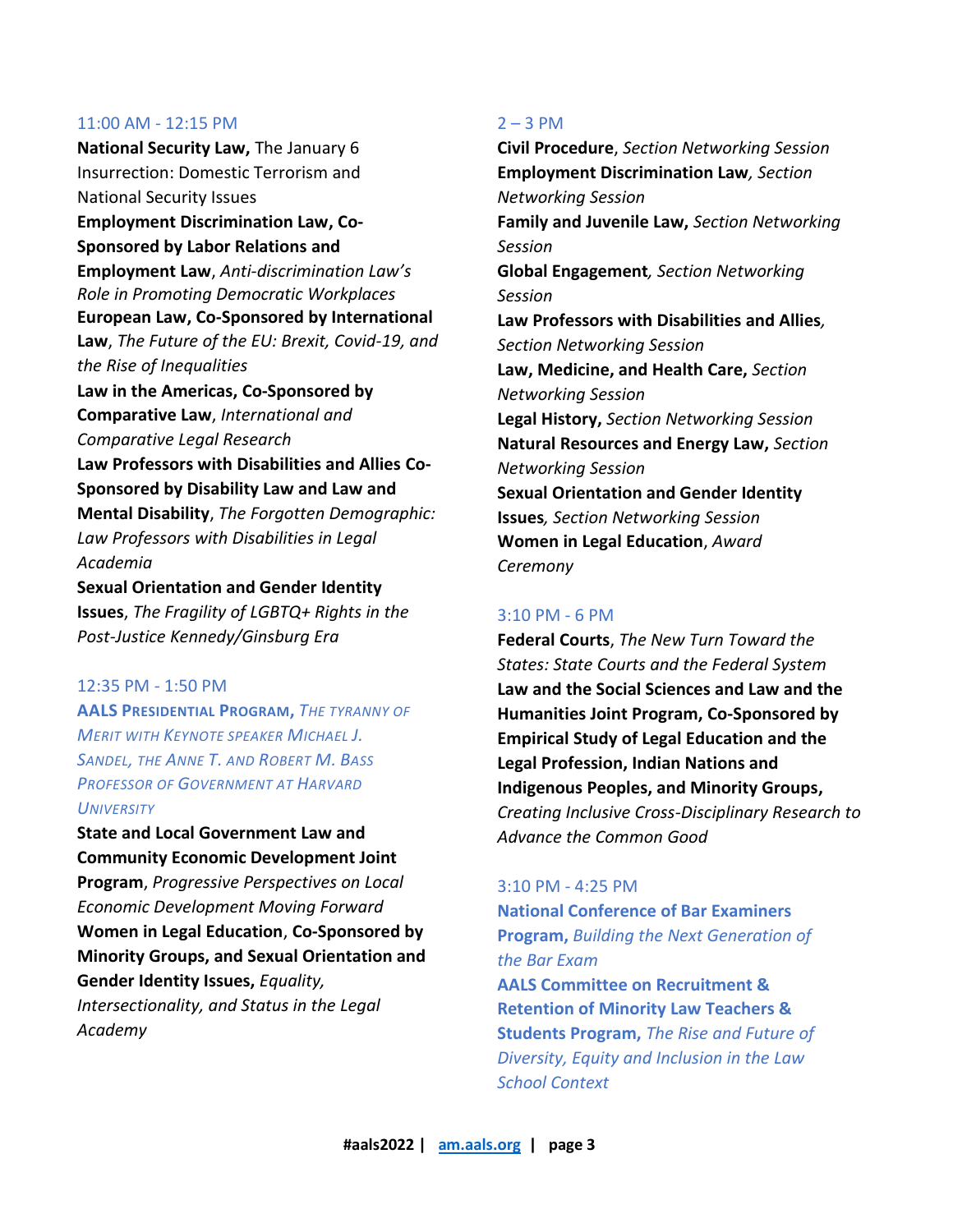**National Security Law,** The January 6 Insurrection: Domestic Terrorism and National Security Issues **Employment Discrimination Law, Co-Sponsored by Labor Relations and Employment Law**, *Anti-discrimination Law's Role in Promoting Democratic Workplaces* **European Law, Co-Sponsored by International Law**, *The Future of the EU: Brexit, Covid-19, and the Rise of Inequalities* **Law in the Americas, Co-Sponsored by Comparative Law**, *International and Comparative Legal Research* **Law Professors with Disabilities and Allies Co-Sponsored by Disability Law and Law and Mental Disability**, *The Forgotten Demographic: Law Professors with Disabilities in Legal Academia* **Sexual Orientation and Gender Identity** 

**Issues**, *The Fragility of LGBTQ+ Rights in the Post-Justice Kennedy/Ginsburg Era*

#### 12:35 PM - 1:50 PM

**AALS PRESIDENTIAL PROGRAM,** *THE TYRANNY OF MERIT WITH KEYNOTE SPEAKER MICHAEL J. SANDEL, THE ANNE T. AND ROBERT M. BASS PROFESSOR OF GOVERNMENT AT HARVARD UNIVERSITY*

**State and Local Government Law and Community Economic Development Joint Program**, *Progressive Perspectives on Local Economic Development Moving Forward* **Women in Legal Education**, **Co-Sponsored by Minority Groups, and Sexual Orientation and Gender Identity Issues,** *Equality, Intersectionality, and Status in the Legal Academy*

#### $2 - 3$  PM

**Civil Procedure**, *Section Networking Session* **Employment Discrimination Law***, Section Networking Session* **Family and Juvenile Law,** *Section Networking Session* **Global Engagement***, Section Networking Session* **Law Professors with Disabilities and Allies***, Section Networking Session* **Law, Medicine, and Health Care,** *Section Networking Session*  **Legal History,** *Section Networking Session*  **Natural Resources and Energy Law,** *Section Networking Session* **Sexual Orientation and Gender Identity Issues***, Section Networking Session* **Women in Legal Education**, *Award Ceremony*

## 3:10 PM - 6 PM

**Federal Courts**, *The New Turn Toward the States: State Courts and the Federal System* **Law and the Social Sciences and Law and the Humanities Joint Program, Co-Sponsored by Empirical Study of Legal Education and the Legal Profession, Indian Nations and Indigenous Peoples, and Minority Groups,** *Creating Inclusive Cross-Disciplinary Research to Advance the Common Good*

#### 3:10 PM - 4:25 PM

**National Conference of Bar Examiners Program,** *Building the Next Generation of the Bar Exam* **AALS Committee on Recruitment & Retention of Minority Law Teachers & Students Program,** *The Rise and Future of Diversity, Equity and Inclusion in the Law School Context*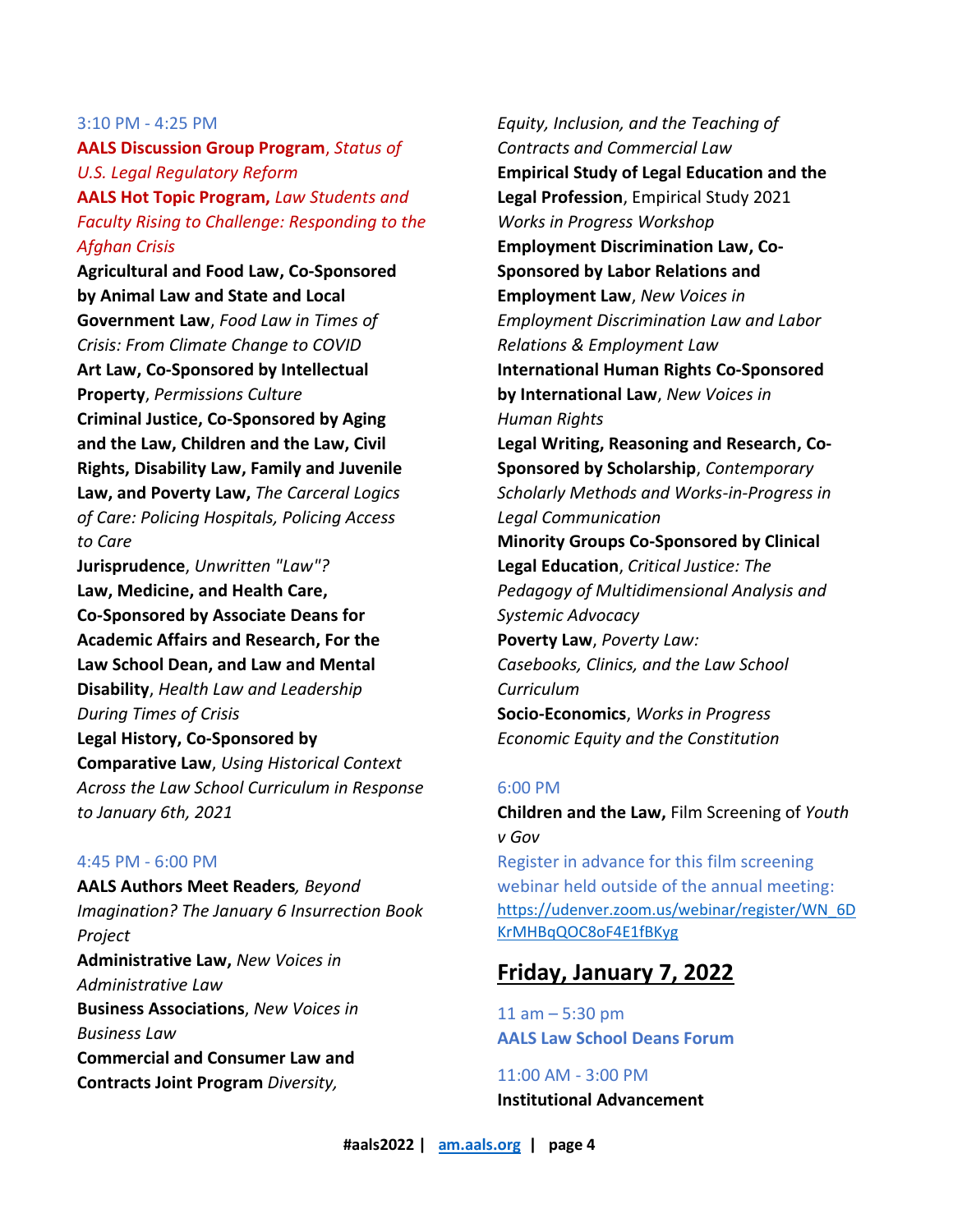#### 3:10 PM - 4:25 PM

**AALS Discussion Group Program**, *Status of U.S. Legal Regulatory Reform* **AALS Hot Topic Program,** *Law Students and Faculty Rising to Challenge: Responding to the Afghan Crisis*

**Agricultural and Food Law, Co-Sponsored by Animal Law and State and Local Government Law**, *Food Law in Times of Crisis: From Climate Change to COVID* **Art Law, Co-Sponsored by Intellectual Property**, *Permissions Culture* **Criminal Justice, Co-Sponsored by Aging and the Law, Children and the Law, Civil Rights, Disability Law, Family and Juvenile Law, and Poverty Law,** *The Carceral Logics of Care: Policing Hospitals, Policing Access to Care* 

**Jurisprudence**, *Unwritten "Law"?* **Law, Medicine, and Health Care, Co-Sponsored by Associate Deans for Academic Affairs and Research, For the Law School Dean, and Law and Mental Disability**, *Health Law and Leadership During Times of Crisis*

**Legal History, Co-Sponsored by Comparative Law**, *Using Historical Context Across the Law School Curriculum in Response to January 6th, 2021*

#### 4:45 PM - 6:00 PM

**AALS Authors Meet Readers***, Beyond Imagination? The January 6 Insurrection Book Project* **Administrative Law,** *New Voices in Administrative Law*  **Business Associations**, *New Voices in Business Law* **Commercial and Consumer Law and Contracts Joint Program** *Diversity,* 

*Equity, Inclusion, and the Teaching of Contracts and Commercial Law* **Empirical Study of Legal Education and the Legal Profession**, Empirical Study 2021 *Works in Progress Workshop* **Employment Discrimination Law, Co-Sponsored by Labor Relations and Employment Law**, *New Voices in Employment Discrimination Law and Labor Relations & Employment Law* **International Human Rights Co-Sponsored by International Law**, *New Voices in Human Rights* **Legal Writing, Reasoning and Research, Co-Sponsored by Scholarship**, *Contemporary Scholarly Methods and Works-in-Progress in Legal Communication* **Minority Groups Co-Sponsored by Clinical Legal Education**, *Critical Justice: The Pedagogy of Multidimensional Analysis and Systemic Advocacy* **Poverty Law**, *Poverty Law: Casebooks, Clinics, and the Law School Curriculum* **Socio-Economics**, *Works in Progress Economic Equity and the Constitution*

## 6:00 PM

**Children and the Law,** Film Screening of *Youth v Gov*

Register in advance for this film screening webinar held outside of the annual meeting: [https://udenver.zoom.us/webinar/register/WN\\_6D](https://udenver.zoom.us/webinar/register/WN_6DKrMHBqQOC8oF4E1fBKyg) [KrMHBqQOC8oF4E1fBKyg](https://udenver.zoom.us/webinar/register/WN_6DKrMHBqQOC8oF4E1fBKyg)

## **Friday, January 7, 2022**

11 am – 5:30 pm **AALS Law School Deans Forum** 

11:00 AM - 3:00 PM **Institutional Advancement**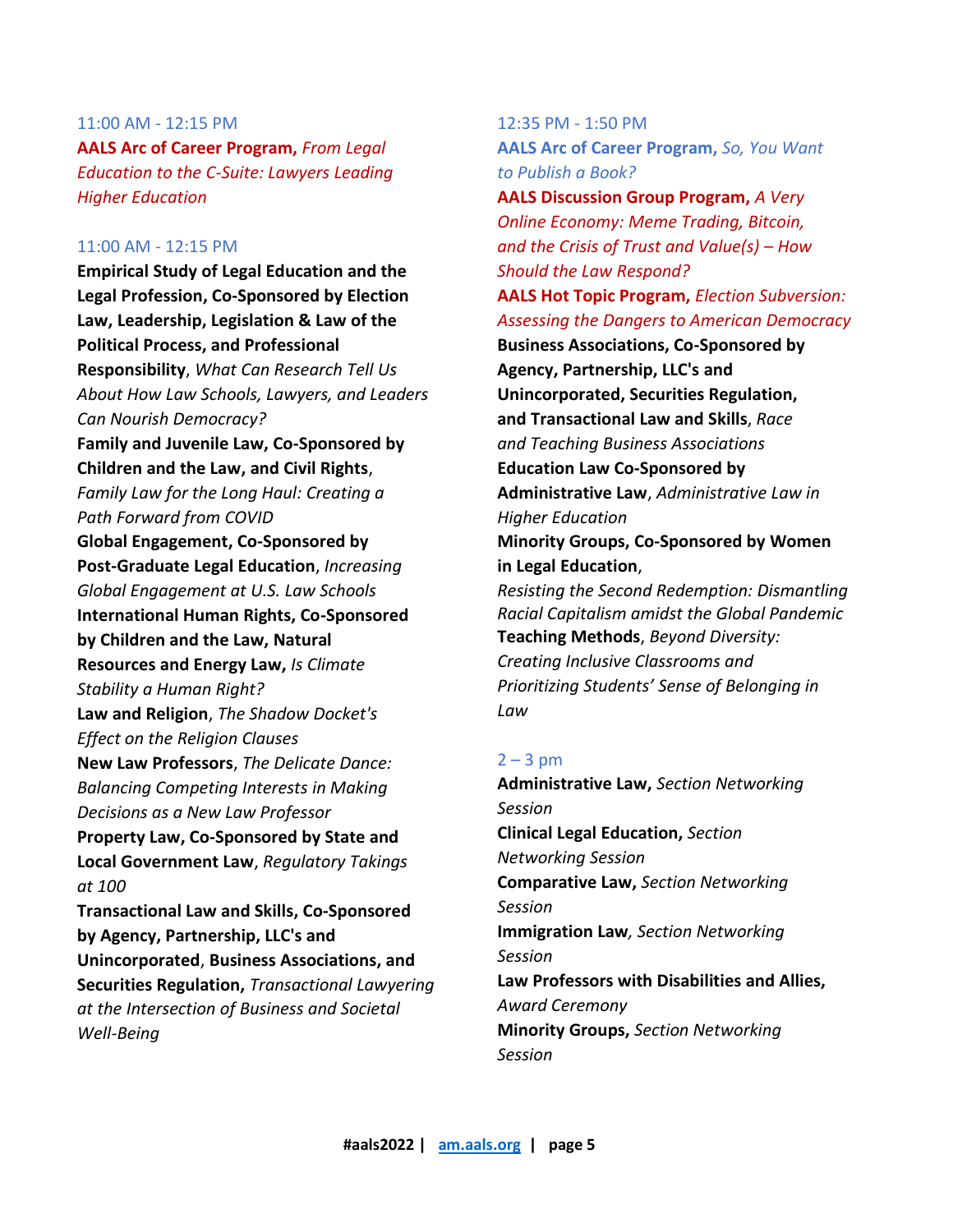**AALS Arc of Career Program,** *From Legal Education to the C-Suite: Lawyers Leading Higher Education*

### 11:00 AM - 12:15 PM

**Empirical Study of Legal Education and the Legal Profession, Co-Sponsored by Election Law, Leadership, Legislation & Law of the Political Process, and Professional Responsibility**, *What Can Research Tell Us About How Law Schools, Lawyers, and Leaders Can Nourish Democracy?* **Family and Juvenile Law, Co-Sponsored by Children and the Law, and Civil Rights**, *Family Law for the Long Haul: Creating a Path Forward from COVID* **Global Engagement, Co-Sponsored by Post-Graduate Legal Education**, *Increasing Global Engagement at U.S. Law Schools* **International Human Rights, Co-Sponsored by Children and the Law, Natural Resources and Energy Law,** *Is Climate Stability a Human Right?* **Law and Religion**, *The Shadow Docket's Effect on the Religion Clauses* **New Law Professors**, *The Delicate Dance: Balancing Competing Interests in Making Decisions as a New Law Professor* **Property Law, Co-Sponsored by State and Local Government Law**, *Regulatory Takings at 100* **Transactional Law and Skills, Co-Sponsored by Agency, Partnership, LLC's and Unincorporated**, **Business Associations, and Securities Regulation,** *Transactional Lawyering at the Intersection of Business and Societal Well-Being*

12:35 PM - 1:50 PM **AALS Arc of Career Program,** *So, You Want to Publish a Book?*

**AALS Discussion Group Program,** *A Very Online Economy: Meme Trading, Bitcoin, and the Crisis of Trust and Value(s) – How Should the Law Respond?* **AALS Hot Topic Program,** *Election Subversion: Assessing the Dangers to American Democracy* **Business Associations, Co-Sponsored by Agency, Partnership, LLC's and Unincorporated, Securities Regulation, and Transactional Law and Skills**, *Race and Teaching Business Associations* **Education Law Co-Sponsored by Administrative Law**, *Administrative Law in Higher Education* **Minority Groups, Co-Sponsored by Women in Legal Education**, *Resisting the Second Redemption: Dismantling Racial Capitalism amidst the Global Pandemic* **Teaching Methods**, *Beyond Diversity: Creating Inclusive Classrooms and Prioritizing Students' Sense of Belonging in* 

## $2 - 3$  pm

*Law*

**Administrative Law,** *Section Networking Session* **Clinical Legal Education,** *Section Networking Session*  **Comparative Law,** *Section Networking Session*  **Immigration Law***, Section Networking Session* **Law Professors with Disabilities and Allies,**  *Award Ceremony* **Minority Groups,** *Section Networking Session*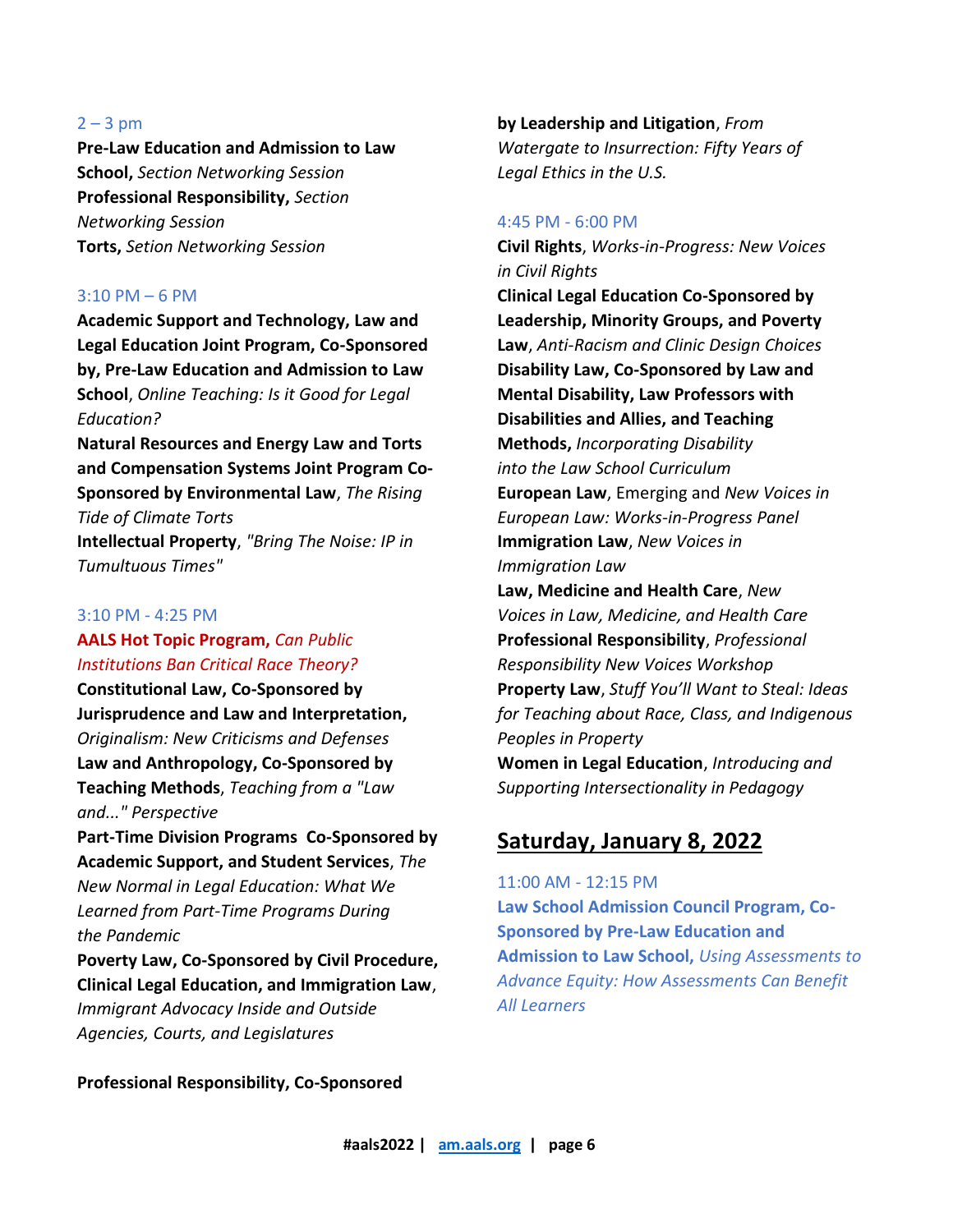#### $2 - 3$  pm

**Pre-Law Education and Admission to Law School,** *Section Networking Session* **Professional Responsibility,** *Section Networking Session* **Torts,** *Setion Networking Session*

#### 3:10 PM – 6 PM

**Academic Support and Technology, Law and Legal Education Joint Program, Co-Sponsored by, Pre-Law Education and Admission to Law School**, *Online Teaching: Is it Good for Legal Education?*

**Natural Resources and Energy Law and Torts and Compensation Systems Joint Program Co-Sponsored by Environmental Law**, *The Rising Tide of Climate Torts* **Intellectual Property**, *"Bring The Noise: IP in* 

*Tumultuous Times"*

## 3:10 PM - 4:25 PM

## **AALS Hot Topic Program,** *Can Public Institutions Ban Critical Race Theory?*

**Constitutional Law, Co-Sponsored by Jurisprudence and Law and Interpretation,** *Originalism: New Criticisms and Defenses* **Law and Anthropology, Co-Sponsored by Teaching Methods**, *Teaching from a "Law and..." Perspective*

**Part-Time Division Programs Co-Sponsored by Academic Support, and Student Services**, *The New Normal in Legal Education: What We Learned from Part-Time Programs During the Pandemic*

**Poverty Law, Co-Sponsored by Civil Procedure, Clinical Legal Education, and Immigration Law**, *Immigrant Advocacy Inside and Outside Agencies, Courts, and Legislatures*

**by Leadership and Litigation**, *From Watergate to Insurrection: Fifty Years of Legal Ethics in the U.S.*

#### 4:45 PM - 6:00 PM

**Civil Rights**, *Works-in-Progress: New Voices in Civil Rights* **Clinical Legal Education Co-Sponsored by Leadership, Minority Groups, and Poverty Law**, *Anti-Racism and Clinic Design Choices* **Disability Law, Co-Sponsored by Law and Mental Disability, Law Professors with Disabilities and Allies, and Teaching Methods,** *Incorporating Disability into the Law School Curriculum* **European Law**, Emerging and *New Voices in European Law: Works-in-Progress Panel* **Immigration Law**, *New Voices in Immigration Law* **Law, Medicine and Health Care**, *New Voices in Law, Medicine, and Health Care* **Professional Responsibility**, *Professional Responsibility New Voices Workshop* **Property Law**, *Stuff You'll Want to Steal: Ideas for Teaching about Race, Class, and Indigenous Peoples in Property* **Women in Legal Education**, *Introducing and Supporting Intersectionality in Pedagogy*

## **Saturday, January 8, 2022**

11:00 AM - 12:15 PM

**Law School Admission Council Program, Co-Sponsored by Pre-Law Education and Admission to Law School,** *Using Assessments to Advance Equity: How Assessments Can Benefit All Learners*

**Professional Responsibility, Co-Sponsored**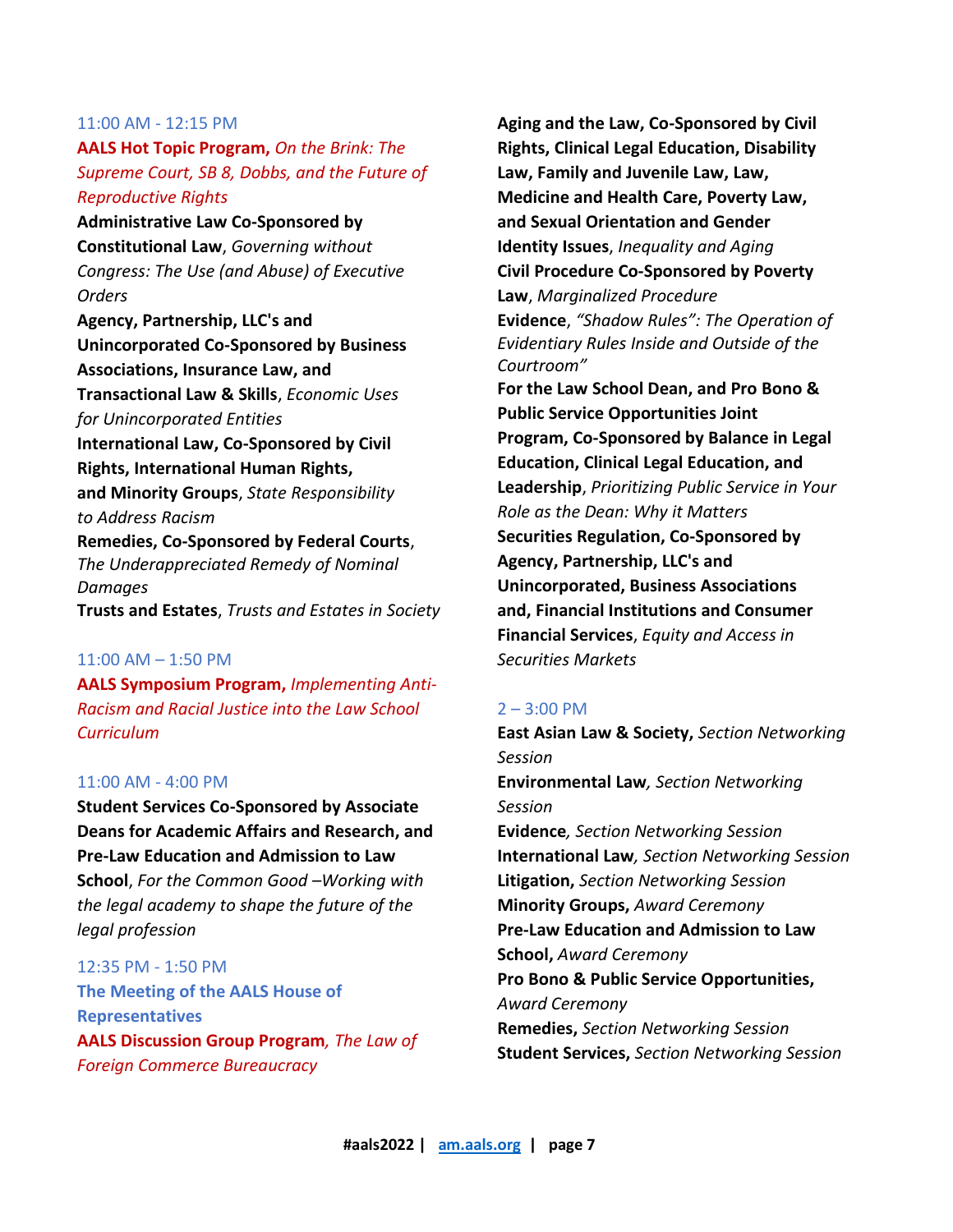**AALS Hot Topic Program,** *On the Brink: The Supreme Court, SB 8, Dobbs, and the Future of Reproductive Rights*

**Administrative Law Co-Sponsored by Constitutional Law**, *Governing without Congress: The Use (and Abuse) of Executive Orders*

**Agency, Partnership, LLC's and Unincorporated Co-Sponsored by Business Associations, Insurance Law, and Transactional Law & Skills**, *Economic Uses for Unincorporated Entities* **International Law, Co-Sponsored by Civil Rights, International Human Rights, and Minority Groups**, *State Responsibility to Address Racism* **Remedies, Co-Sponsored by Federal Courts**, *The Underappreciated Remedy of Nominal Damages*

**Trusts and Estates**, *Trusts and Estates in Society*

### 11:00 AM – 1:50 PM

**AALS Symposium Program,** *Implementing Anti-Racism and Racial Justice into the Law School Curriculum*

## 11:00 AM - 4:00 PM

**Student Services Co-Sponsored by Associate Deans for Academic Affairs and Research, and Pre-Law Education and Admission to Law School**, *For the Common Good –Working with the legal academy to shape the future of the legal profession*

12:35 PM - 1:50 PM **The Meeting of the AALS House of Representatives AALS Discussion Group Program***, The Law of Foreign Commerce Bureaucracy*

**Aging and the Law, Co-Sponsored by Civil Rights, Clinical Legal Education, Disability Law, Family and Juvenile Law, Law, Medicine and Health Care, Poverty Law, and Sexual Orientation and Gender Identity Issues**, *Inequality and Aging* **Civil Procedure Co-Sponsored by Poverty Law**, *Marginalized Procedure* **Evidence**, *"Shadow Rules": The Operation of Evidentiary Rules Inside and Outside of the Courtroom"* **For the Law School Dean, and Pro Bono & Public Service Opportunities Joint Program, Co-Sponsored by Balance in Legal Education, Clinical Legal Education, and Leadership**, *Prioritizing Public Service in Your Role as the Dean: Why it Matters* **Securities Regulation, Co-Sponsored by Agency, Partnership, LLC's and Unincorporated, Business Associations and, Financial Institutions and Consumer Financial Services**, *Equity and Access in Securities Markets*

#### $2 - 3:00$  PM

**East Asian Law & Society,** *Section Networking Session* **Environmental Law***, Section Networking Session* **Evidence***, Section Networking Session* **International Law***, Section Networking Session* **Litigation,** *Section Networking Session* **Minority Groups,** *Award Ceremony* **Pre-Law Education and Admission to Law School,** *Award Ceremony* **Pro Bono & Public Service Opportunities,** *Award Ceremony* **Remedies,** *Section Networking Session* **Student Services,** *Section Networking Session*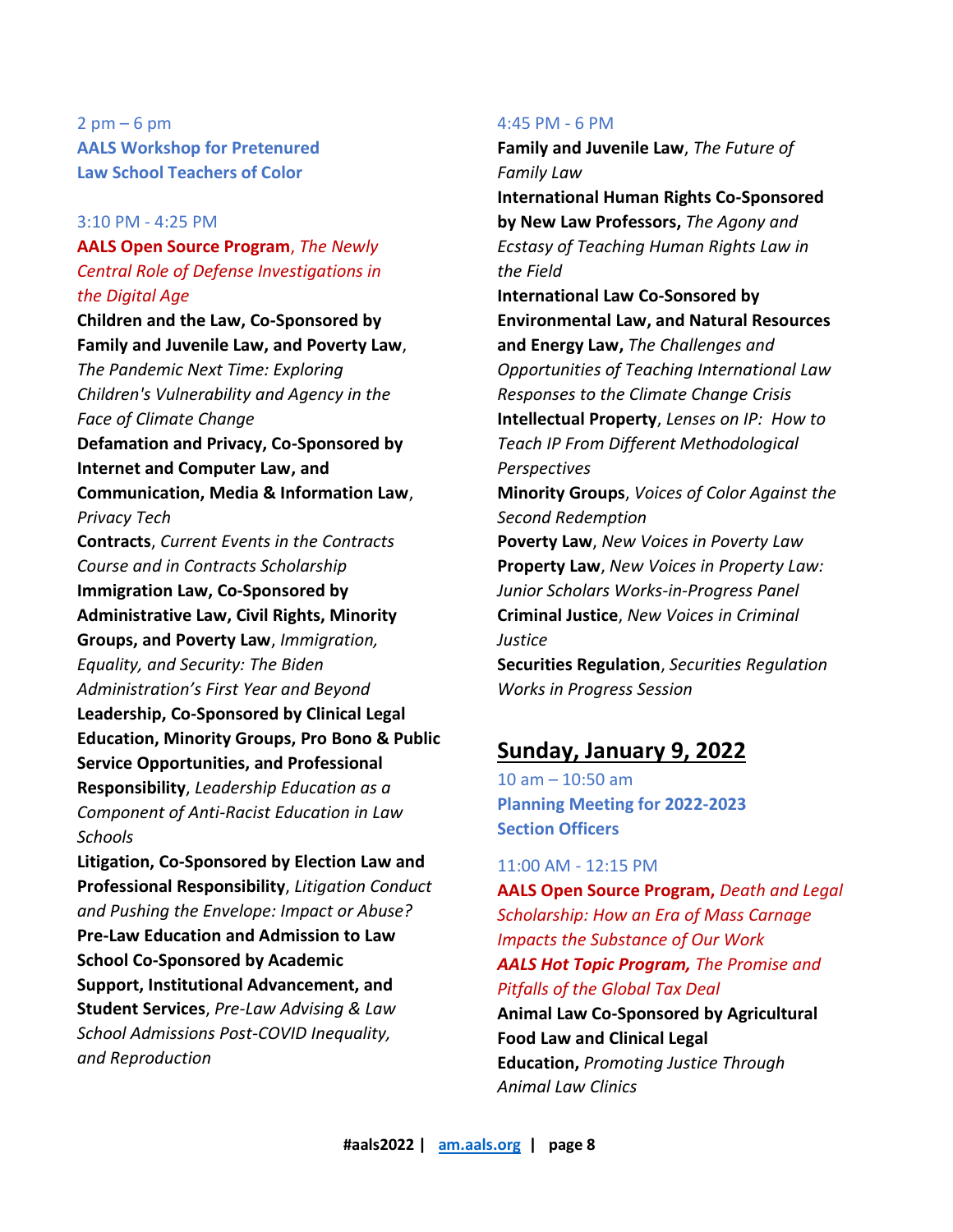## $2$  pm  $-6$  pm **AALS Workshop for Pretenured Law School Teachers of Color**

## 3:10 PM - 4:25 PM

## **AALS Open Source Program**, *The Newly Central Role of Defense Investigations in the Digital Age*

## **Children and the Law, Co-Sponsored by Family and Juvenile Law, and Poverty Law**,

*The Pandemic Next Time: Exploring Children's Vulnerability and Agency in the Face of Climate Change*

**Defamation and Privacy, Co-Sponsored by Internet and Computer Law, and Communication, Media & Information Law**,

*Privacy Tech*

**Contracts**, *Current Events in the Contracts Course and in Contracts Scholarship* **Immigration Law, Co-Sponsored by Administrative Law, Civil Rights, Minority Groups, and Poverty Law**, *Immigration, Equality, and Security: The Biden Administration's First Year and Beyond* **Leadership, Co-Sponsored by Clinical Legal Education, Minority Groups, Pro Bono & Public Service Opportunities, and Professional Responsibility**, *Leadership Education as a Component of Anti-Racist Education in Law Schools*

**Litigation, Co-Sponsored by Election Law and Professional Responsibility**, *Litigation Conduct and Pushing the Envelope: Impact or Abuse?* **Pre-Law Education and Admission to Law School Co-Sponsored by Academic Support, Institutional Advancement, and Student Services**, *Pre‐Law Advising & Law School Admissions Post‐COVID Inequality, and Reproduction*

## 4:45 PM - 6 PM

**Family and Juvenile Law**, *The Future of Family Law* **International Human Rights Co-Sponsored by New Law Professors,** *The Agony and Ecstasy of Teaching Human Rights Law in* 

*the Field* **International Law Co-Sonsored by Environmental Law, and Natural Resources and Energy Law,** *The Challenges and Opportunities of Teaching International Law Responses to the Climate Change Crisis* **Intellectual Property**, *Lenses on IP: How to Teach IP From Different Methodological Perspectives*

**Minority Groups**, *Voices of Color Against the Second Redemption*

**Poverty Law**, *New Voices in Poverty Law* **Property Law**, *New Voices in Property Law: Junior Scholars Works-in-Progress Panel* **Criminal Justice**, *New Voices in Criminal Justice*

**Securities Regulation**, *Securities Regulation Works in Progress Session*

## **Sunday, January 9, 2022**

10 am – 10:50 am **Planning Meeting for 2022-2023 Section Officers**

11:00 AM - 12:15 PM

**AALS Open Source Program,** *Death and Legal Scholarship: How an Era of Mass Carnage Impacts the Substance of Our Work AALS Hot Topic Program, The Promise and Pitfalls of the Global Tax Deal* **Animal Law Co-Sponsored by Agricultural Food Law and Clinical Legal Education,** *Promoting Justice Through Animal Law Clinics*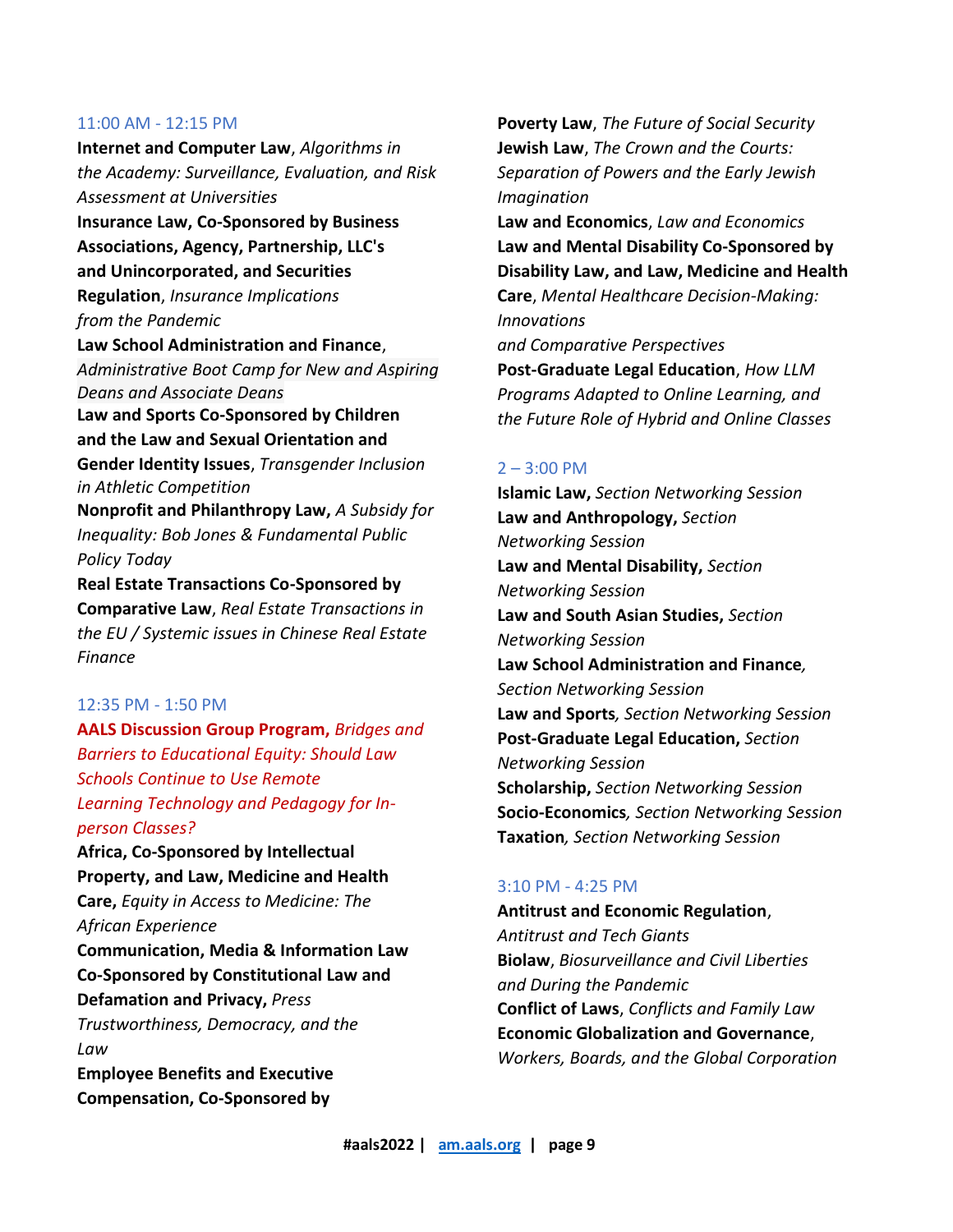**Internet and Computer Law**, *Algorithms in the Academy: Surveillance, Evaluation, and Risk Assessment at Universities*

**Insurance Law, Co-Sponsored by Business Associations, Agency, Partnership, LLC's and Unincorporated, and Securities Regulation**, *Insurance Implications from the Pandemic*

**Law School Administration and Finance**, *Administrative Boot Camp for New and Aspiring Deans and Associate Deans* **Law and Sports Co-Sponsored by Children and the Law and Sexual Orientation and Gender Identity Issues**, *Transgender Inclusion in Athletic Competition* **Nonprofit and Philanthropy Law,** *A Subsidy for Inequality: Bob Jones & Fundamental Public Policy Today*

**Real Estate Transactions Co-Sponsored by Comparative Law**, *Real Estate Transactions in the EU / Systemic issues in Chinese Real Estate Finance*

### 12:35 PM - 1:50 PM

**AALS Discussion Group Program,** *Bridges and Barriers to Educational Equity: Should Law Schools Continue to Use Remote Learning Technology and Pedagogy for Inperson Classes?*

**Africa, Co-Sponsored by Intellectual Property, and Law, Medicine and Health Care,** *Equity in Access to Medicine: The African Experience* **Communication, Media & Information Law Co-Sponsored by Constitutional Law and Defamation and Privacy,** *Press* 

*Trustworthiness, Democracy, and the Law*

**Employee Benefits and Executive Compensation, Co-Sponsored by**

**Poverty Law**, *The Future of Social Security* **Jewish Law**, *The Crown and the Courts: Separation of Powers and the Early Jewish Imagination*

**Law and Economics**, *Law and Economics* **Law and Mental Disability Co-Sponsored by Disability Law, and Law, Medicine and Health Care**, *Mental Healthcare Decision-Making: Innovations and Comparative Perspectives* **Post-Graduate Legal Education**, *How LLM Programs Adapted to Online Learning, and* 

*the Future Role of Hybrid and Online Classes*

#### $2 - 3:00$  PM

**Islamic Law,** *Section Networking Session* **Law and Anthropology,** *Section Networking Session*  **Law and Mental Disability,** *Section Networking Session* **Law and South Asian Studies,** *Section Networking Session* **Law School Administration and Finance***, Section Networking Session* **Law and Sports***, Section Networking Session* **Post-Graduate Legal Education,** *Section Networking Session*  **Scholarship,** *Section Networking Session* **Socio-Economics***, Section Networking Session* **Taxation***, Section Networking Session* 

#### 3:10 PM - 4:25 PM

**Antitrust and Economic Regulation**, *Antitrust and Tech Giants* **Biolaw**, *Biosurveillance and Civil Liberties and During the Pandemic* **Conflict of Laws**, *Conflicts and Family Law* **Economic Globalization and Governance**, *Workers, Boards, and the Global Corporation*